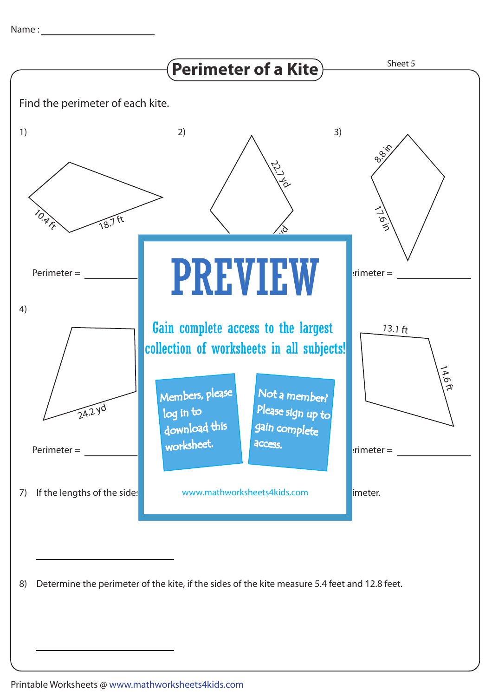